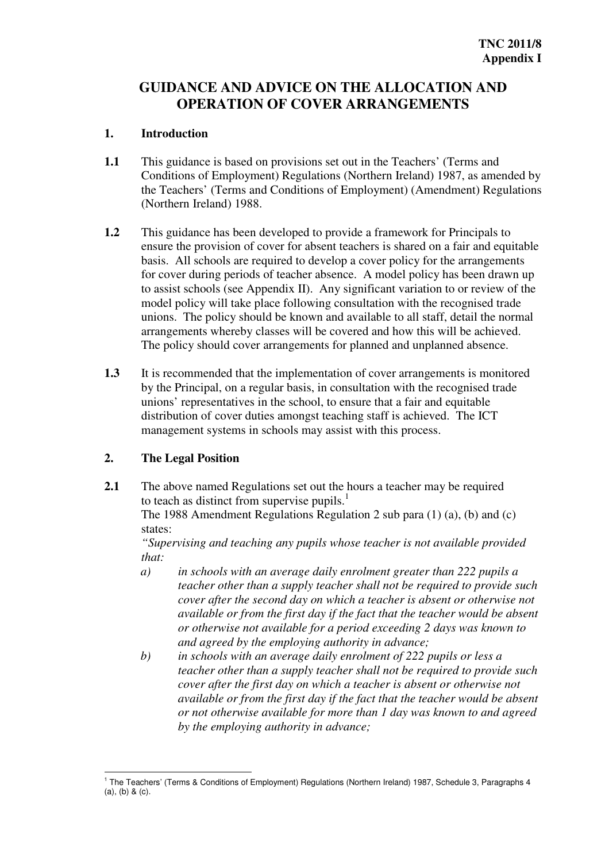# **GUIDANCE AND ADVICE ON THE ALLOCATION AND OPERATION OF COVER ARRANGEMENTS**

#### $\mathbf{1}$ **Introduction**

- $1.1$  Conditions of Employment) Regulations (Northern Ireland) 1987, as amended by (Northern Ireland) 1988. This guidance is based on provisions set out in the Teachers' (Terms and the Teachers' (Terms and Conditions of Employment) (Amendment) Regulations
- $1.2$  ensure the provision of cover for absent teachers is shared on a fair and equitable basis. All schools are required to develop a cover policy for the arrangements model policy will take place following consultation with the recognised trade unions. The policy should be known and available to all staff, detail the normal arrangements whereby classes will be covered and how this will be achieved. This guidance has been developed to provide a framework for Principals to for cover during periods of teacher absence. A model policy has been drawn up to assist schools (see Appendix II). Any significant variation to or review of the The policy should cover arrangements for planned and unplanned absence.
- $1.3$  unions' representatives in the school, to ensure that a fair and equitable distribution of cover duties amongst teaching staff is achieved. The ICT management systems in schools may assist with this process. It is recommended that the implementation of cover arrangements is monitored by the Principal, on a regular basis, in consultation with the recognised trade

## **2. The Legal Position**

 $2.1$ **2.1** The above named Regulations set out the hours a teacher may be required to teach as distinct from supervise pupils. $<sup>1</sup>$ </sup>

The 1988 Amendment Regulations Regulation 2 sub para (1) (a), (b) and (c) states:

 *"Supervising and teaching any pupils whose teacher is not available provided that:* 

- *a) in schools with an average daily enrolment greater than 222 pupils a teacher other than a supply teacher shall not be required to provide such available or from the first day if the fact that the teacher would be absent cover after the second day on which a teacher is absent or otherwise not or otherwise not available for a period exceeding 2 days was known to and agreed by the employing authority in advance;*
- *b) in schools with an average daily enrolment of 222 pupils or less a teacher other than a supply teacher shall not be required to provide such available or from the first day if the fact that the teacher would be absent cover after the first day on which a teacher is absent or otherwise not or not otherwise available for more than 1 day was known to and agreed by the employing authority in advance;*

 $\overline{a}$  1 The Teachers' (Terms & Conditions of Employment) Regulations (Northern Ireland) 1987, Schedule 3, Paragraphs 4 (a), (b) & (c).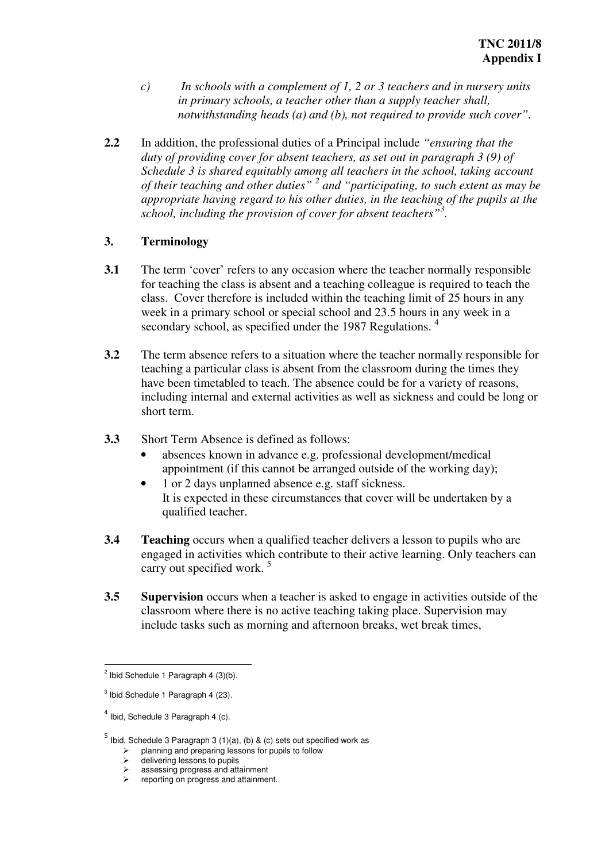- *c) In schools with a complement of 1, 2 or 3 teachers and in nursery units notwithstanding heads (a) and (b), not required to provide such cover". in primary schools, a teacher other than a supply teacher shall,*
- $2.2$  *Schedule 3 is shared equitably among all teachers in the school, taking account appropriate having regard to his other duties, in the teaching of the pupils at the school, including the provision of cover for absent teachers"<sup>3</sup> .*  In addition, the professional duties of a Principal include *"ensuring that the duty of providing cover for absent teachers, as set out in paragraph 3 (9) of of their teaching and other duties" 2 and "participating, to such extent as may be*

## $\overline{3}$ . **3. Terminology**

- $3.1$ secondary school, as specified under the 1987 Regulations.<sup>4</sup> The term 'cover' refers to any occasion where the teacher normally responsible for teaching the class is absent and a teaching colleague is required to teach the class. Cover therefore is included within the teaching limit of 25 hours in any week in a primary school or special school and 23.5 hours in any week in a
- $3.2$  teaching a particular class is absent from the classroom during the times they including internal and external activities as well as sickness and could be long or The term absence refers to a situation where the teacher normally responsible for have been timetabled to teach. The absence could be for a variety of reasons, short term.
- $3.3$ Short Term Absence is defined as follows:
	- • absences known in advance e.g. professional development/medical appointment (if this cannot be arranged outside of the working day);
	- 1 or 2 days unplanned absence e.g. staff sickness. qualified teacher. It is expected in these circumstances that cover will be undertaken by a
- **3.4** Teaching occurs when a qualified teacher delivers a lesson to pupils who are engaged in activities which contribute to their active learning. Only teachers can carry out specified work. <sup>5</sup>
- **3.5** Supervision occurs when a teacher is asked to engage in activities outside of the classroom where there is no active teaching taking place. Supervision may include tasks such as morning and afternoon breaks, wet break times,

 $\overline{a}$  $2$  Ibid Schedule 1 Paragraph 4 (3)(b).

<sup>&</sup>lt;sup>3</sup> Ibid Schedule 1 Paragraph 4 (23).

 $<sup>4</sup>$  Ibid, Schedule 3 Paragraph 4 (c).</sup>

<sup>&</sup>lt;sup>5</sup> Ibid, Schedule 3 Paragraph 3 (1)(a), (b) & (c) sets out specified work as

 $\triangleright$  planning and preparing lessons for pupils to follow

<sup>→</sup> delivering lessons to pupils<br>
→ assessing progress and attainment.<br>
→ reporting on progress and attainment.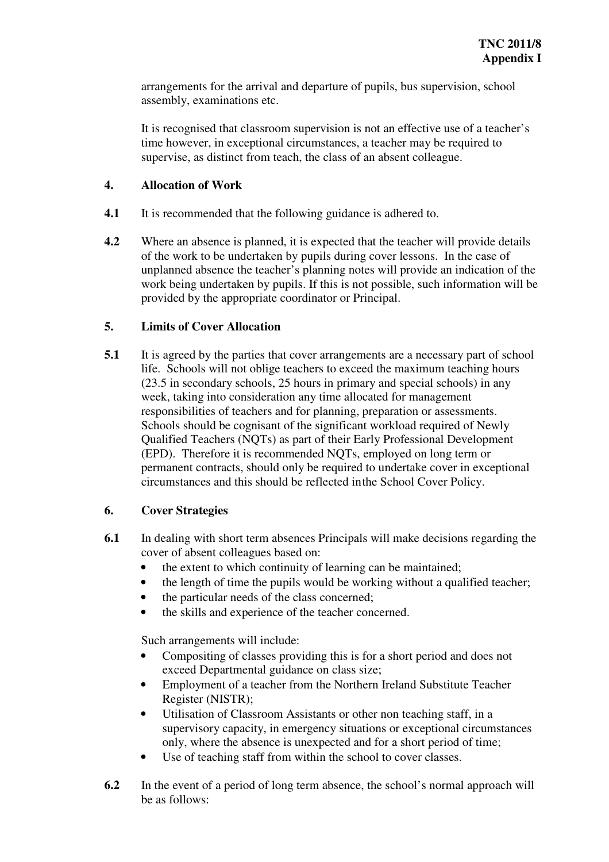arrangements for the arrival and departure of pupils, bus supervision, school assembly, examinations etc.

 supervise, as distinct from teach, the class of an absent colleague. It is recognised that classroom supervision is not an effective use of a teacher's time however, in exceptional circumstances, a teacher may be required to

# **4. Allocation of Work**

- $4.1$ It is recommended that the following guidance is adhered to.
- $4.2$  unplanned absence the teacher's planning notes will provide an indication of the provided by the appropriate coordinator or Principal. Where an absence is planned, it is expected that the teacher will provide details of the work to be undertaken by pupils during cover lessons. In the case of work being undertaken by pupils. If this is not possible, such information will be

# **Limits of Cover Allocation**

 $5.1$  week, taking into consideration any time allocated for management responsibilities of teachers and for planning, preparation or assessments. Schools should be cognisant of the significant workload required of Newly Qualified Teachers (NQTs) as part of their Early Professional Development (EPD). Therefore it is recommended NQTs, employed on long term or permanent contracts, should only be required to undertake cover in exceptional circumstances and this should be reflected inthe School Cover Policy. It is agreed by the parties that cover arrangements are a necessary part of school life. Schools will not oblige teachers to exceed the maximum teaching hours (23.5 in secondary schools, 25 hours in primary and special schools) in any

# **Cover Strategies**

- 6.1 In dealing with short term absences Principals will make decisions regarding the cover of absent colleagues based on:
	- the extent to which continuity of learning can be maintained;
	- the length of time the pupils would be working without a qualified teacher;
	- the particular needs of the class concerned;
	- the skills and experience of the teacher concerned.

Such arrangements will include:

- Compositing of classes providing this is for a short period and does not exceed Departmental guidance on class size;
- Employment of a teacher from the Northern Ireland Substitute Teacher Register (NISTR);
- Utilisation of Classroom Assistants or other non teaching staff, in a supervisory capacity, in emergency situations or exceptional circumstances only, where the absence is unexpected and for a short period of time;
- • Use of teaching staff from within the school to cover classes.
- 6.2 In the event of a period of long term absence, the school's normal approach will be as follows: